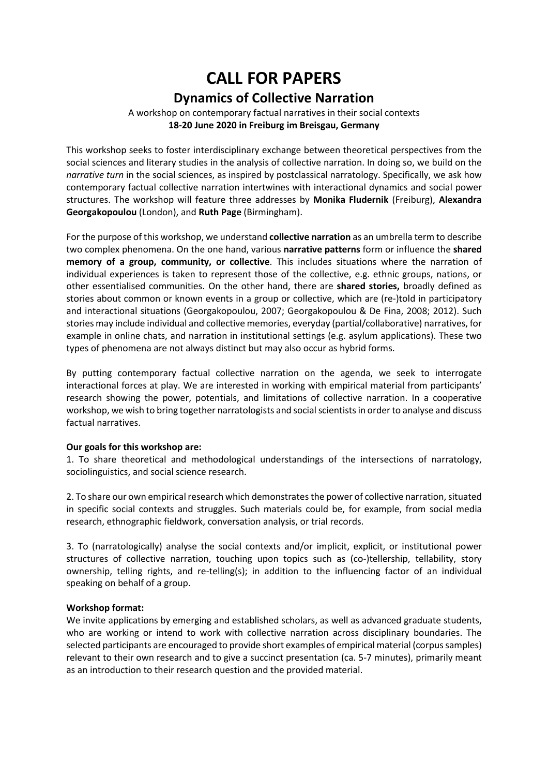# **CALL FOR PAPERS Dynamics of Collective Narration**

## A workshop on contemporary factual narratives in their social contexts **18-20 June 2020 in Freiburg im Breisgau, Germany**

This workshop seeks to foster interdisciplinary exchange between theoretical perspectives from the social sciences and literary studies in the analysis of collective narration. In doing so, we build on the *narrative turn* in the social sciences, as inspired by postclassical narratology. Specifically, we ask how contemporary factual collective narration intertwines with interactional dynamics and social power structures. The workshop will feature three addresses by **Monika Fludernik** (Freiburg), **Alexandra Georgakopoulou** (London), and **Ruth Page** (Birmingham).

For the purpose of this workshop, we understand **collective narration** as an umbrella term to describe two complex phenomena. On the one hand, various **narrative patterns** form or influence the **shared memory of a group, community, or collective**. This includes situations where the narration of individual experiences is taken to represent those of the collective, e.g. ethnic groups, nations, or other essentialised communities. On the other hand, there are **shared stories,** broadly defined as stories about common or known events in a group or collective, which are (re-)told in participatory and interactional situations (Georgakopoulou, 2007; Georgakopoulou & De Fina, 2008; 2012). Such stories may include individual and collective memories, everyday (partial/collaborative) narratives, for example in online chats, and narration in institutional settings (e.g. asylum applications). These two types of phenomena are not always distinct but may also occur as hybrid forms.

By putting contemporary factual collective narration on the agenda, we seek to interrogate interactional forces at play. We are interested in working with empirical material from participants' research showing the power, potentials, and limitations of collective narration. In a cooperative workshop, we wish to bring together narratologists and social scientists in order to analyse and discuss factual narratives.

#### **Our goals for this workshop are:**

1. To share theoretical and methodological understandings of the intersections of narratology, sociolinguistics, and social science research.

2. To share our own empirical research which demonstrates the power of collective narration, situated in specific social contexts and struggles. Such materials could be, for example, from social media research, ethnographic fieldwork, conversation analysis, or trial records.

3. To (narratologically) analyse the social contexts and/or implicit, explicit, or institutional power structures of collective narration, touching upon topics such as (co-)tellership, tellability, story ownership, telling rights, and re-telling(s); in addition to the influencing factor of an individual speaking on behalf of a group.

## **Workshop format:**

We invite applications by emerging and established scholars, as well as advanced graduate students, who are working or intend to work with collective narration across disciplinary boundaries. The selected participants are encouraged to provide short examples of empirical material (corpus samples) relevant to their own research and to give a succinct presentation (ca. 5-7 minutes), primarily meant as an introduction to their research question and the provided material.